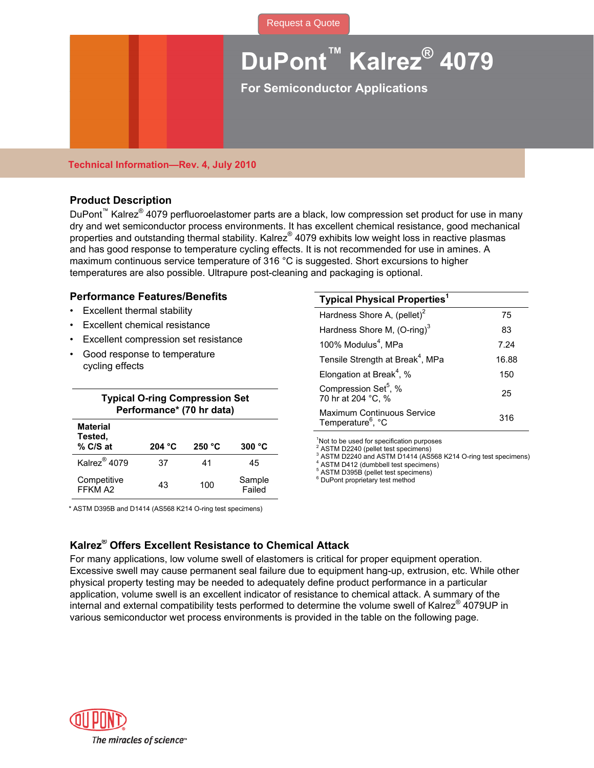[Request a Quote](http://www.marcorubber.com/contact_quote.htm?material=K4079)

# **DuPont™ Kalrez® 4079**

**For Semiconductor Applications** 

### **Technical Information—Rev. 4, July 2010**

# **Product Description**

DuPont<sup>™</sup> Kalrez<sup>®</sup> 4079 perfluoroelastomer parts are a black, low compression set product for use in many dry and wet semiconductor process environments. It has excellent chemical resistance, good mechanical properties and outstanding thermal stability. Kalrez® 4079 exhibits low weight loss in reactive plasmas and has good response to temperature cycling effects. It is not recommended for use in amines. A maximum continuous service temperature of 316 °C is suggested. Short excursions to higher temperatures are also possible. Ultrapure post-cleaning and packaging is optional.

## **Performance Features/Benefits**

- **Excellent thermal stability**
- Excellent chemical resistance
- Excellent compression set resistance
- Good response to temperature cycling effects

|                          | <b>Typical O-ring Compression Set</b> |        |                  | <b>UUIIINICOOIUII UUL</b> , 70<br>70 hr at 204 °C, %                                                                                                |  |
|--------------------------|---------------------------------------|--------|------------------|-----------------------------------------------------------------------------------------------------------------------------------------------------|--|
| <b>Material</b>          | Performance* (70 hr data)             |        |                  | Maximum Continuous Service<br>Temperature <sup>6</sup> , °C                                                                                         |  |
| Tested,<br>% C/S at      | 204 °C                                | 250 °C | 300 °C           | <sup>1</sup> Not to be used for specification purpose<br><sup>2</sup> ASTM D2240 (pellet test specimens)                                            |  |
| Kalrez <sup>®</sup> 4079 | 37                                    | 41     | 45               | <sup>3</sup> ASTM D2240 and ASTM D1414 (AS56<br><sup>4</sup> ASTM D412 (dumbbell test specimens)<br><sup>5</sup> ASTM D395B (pellet test specimens) |  |
| Competitive<br>FFKM A2   | 43                                    | 100    | Sample<br>Failed | <sup>6</sup> DuPont proprietary test method                                                                                                         |  |

| <b>Typical Physical Properties</b> <sup>1</sup>             |            |  |
|-------------------------------------------------------------|------------|--|
| Hardness Shore A, (pellet) <sup>2</sup><br>75               |            |  |
| Hardness Shore M, (O-ring) <sup>3</sup>                     | 83<br>7.24 |  |
| 100% Modulus <sup>4</sup> , MPa                             |            |  |
| Tensile Strength at Break <sup>4</sup> , MPa                | 16.88      |  |
| Elongation at Break <sup>4</sup> , %                        | 150        |  |
| Compression Set <sup>5</sup> , %<br>70 hr at 204 °C, %      | 25         |  |
| Maximum Continuous Service<br>Temperature <sup>6</sup> , °C | 316        |  |
|                                                             |            |  |

<sup>1</sup>Not to be used for specification purposes

<sup>2</sup> ASTM D2240 (pellet test specimens)<br><sup>3</sup> ASTM D2240 and ASTM D1414 (AS568 K214 O-ring test specimens)

#### \* ASTM D395B and D1414 (AS568 K214 O-ring test specimens)

# **Kalrez® Offers Excellent Resistance to Chemical Attack**

For many applications, low volume swell of elastomers is critical for proper equipment operation. Excessive swell may cause permanent seal failure due to equipment hang-up, extrusion, etc. While other physical property testing may be needed to adequately define product performance in a particular application, volume swell is an excellent indicator of resistance to chemical attack. A summary of the internal and external compatibility tests performed to determine the volume swell of Kalrez® 4079UP in various semiconductor wet process environments is provided in the table on the following page.